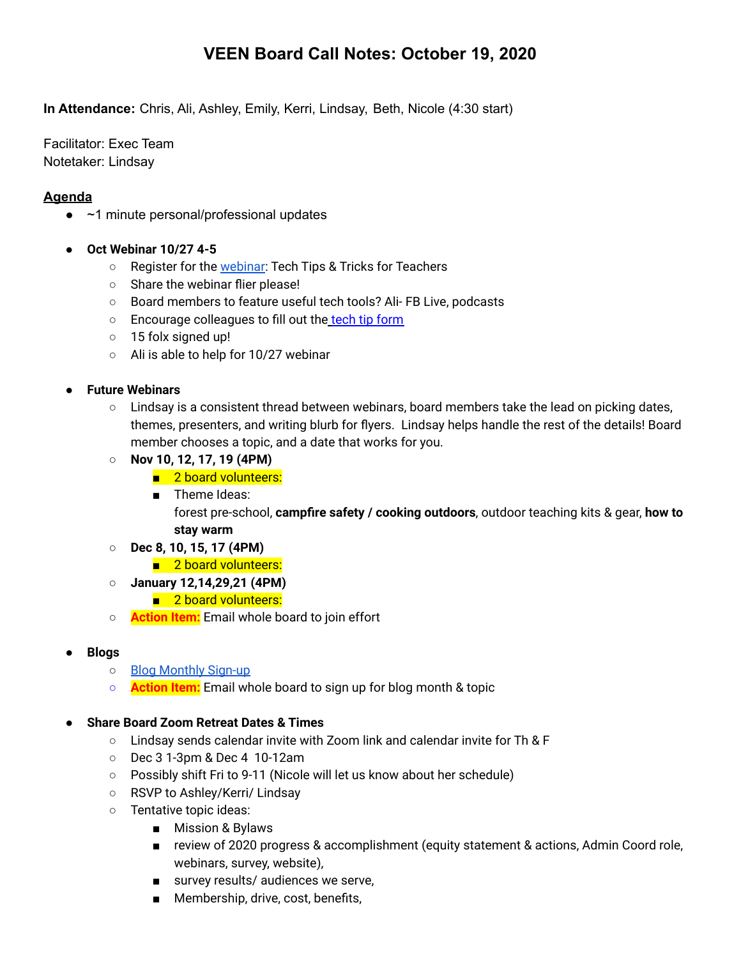# **VEEN Board Call Notes: October 19, 2020**

**In Attendance:** Chris, Ali, Ashley, Emily, Kerri, Lindsay, Beth, Nicole (4:30 start)

Facilitator: Exec Team Notetaker: Lindsay

# **Agenda**

- $\bullet$  ~1 minute personal/professional updates
- **● Oct Webinar 10/27 4-5**
	- Register for the [webinar](https://uvmextension.zoom.us/webinar/register/WN_6etwqcqVTHq88gCbG8cDZA): Tech Tips & Tricks for Teachers
	- Share the webinar flier please!
	- Board members to feature useful tech tools? Ali- FB Live, podcasts
	- Encourage colleagues to fill out the [tech tip form](https://docs.google.com/forms/d/17MHmKmfDEtEuzyqOyEv-4N6Q_ruL2BxSZlah6lJfyHA/edit#response=ACYDBNj3bStVFYbUoq_Zb6342DNd72a0tLvErrwkW5UxFhaXf_CFY1dJY8kTeB3U8TsOLUg)
	- 15 folx signed up!
	- Ali is able to help for 10/27 webinar
- **Future Webinars** 
	- Lindsay is a consistent thread between webinars, board members take the lead on picking dates, themes, presenters, and writing blurb for flyers. Lindsay helps handle the rest of the details! Board member chooses a topic, and a date that works for you.
	- **Nov 10, 12, 17, 19 (4PM)**
		- 2 board volunteers:
		- Theme Ideas:

forest pre-school, **campfire safety / cooking outdoors**, outdoor teaching kits & gear, **how to stay warm**

- **○ Dec 8, 10, 15, 17 (4PM)**
	- 2 board volunteers:
- **○ January 12,14,29,21 (4PM)**
	- 2 board volunteers:
- **○ Action Item:** Email whole board to join effort
- **● Blogs**
	- o [Blog Monthly Sign-up](https://docs.google.com/spreadsheets/d/1gf0EXrRsO4BC9vyKXEgxTooAxtw913G1pqMnnbaITAg/edit?usp=sharing)
	- **Action Item:** Email whole board to sign up for blog month & topic

### **● Share Board Zoom Retreat Dates & Times**

- **○** Lindsay sends calendar invite with Zoom link and calendar invite for Th & F
- Dec 3 1-3pm & Dec 4 10-12am
- Possibly shift Fri to 9-11 (Nicole will let us know about her schedule)
- RSVP to Ashley/Kerri/ Lindsay
- Tentative topic ideas:
	- Mission & Bylaws
	- review of 2020 progress & accomplishment (equity statement & actions, Admin Coord role, webinars, survey, website),
	- survey results/ audiences we serve,
	- Membership, drive, cost, benefits,